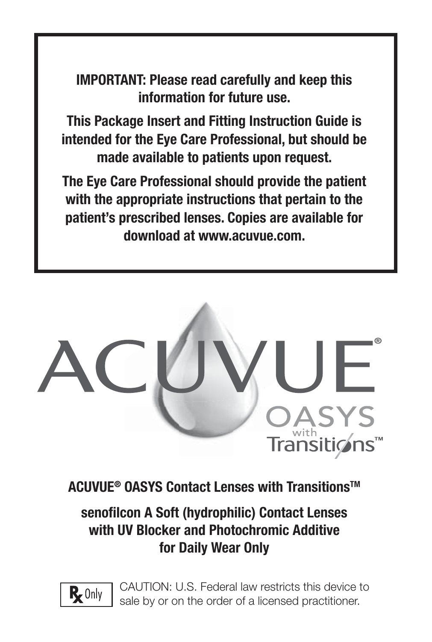**IMPORTANT: Please read carefully and keep this information for future use.**

**This Package Insert and Fitting Instruction Guide is intended for the Eye Care Professional, but should be made available to patients upon request.** 

**The Eye Care Professional should provide the patient with the appropriate instructions that pertain to the patient's prescribed lenses. Copies are available for download at www.acuvue.com.**



**ACUVUE® OASYS Contact Lenses with TransitionsTM**

# senofilcon A Soft (hydrophilic) Contact Lenses **with UV Blocker and Photochromic Additive for Daily Wear Only**



CAUTION: U.S. Federal law restricts this device to sale by or on the order of a licensed practitioner.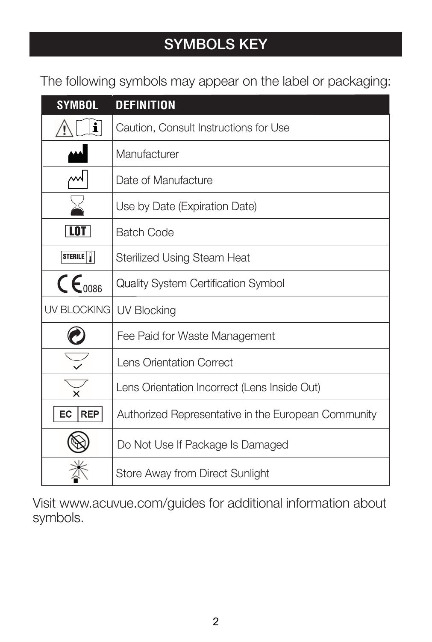# **SYMBOLS KEY**

The following symbols may appear on the label or packaging:

| <b>SYMBOL</b>             | <b>DEFINITION</b>                                   |
|---------------------------|-----------------------------------------------------|
| i                         | Caution, Consult Instructions for Use               |
|                           | Manufacturer                                        |
| ₩                         | Date of Manufacture                                 |
|                           | Use by Date (Expiration Date)                       |
| <b>LOT</b>                | <b>Batch Code</b>                                   |
| STERILE                   | Sterilized Using Steam Heat                         |
| $\mathsf{CE}_{0086}$      | Quality System Certification Symbol                 |
| UV BLOCKING   UV Blocking |                                                     |
|                           | Fee Paid for Waste Management                       |
|                           | Lens Orientation Correct                            |
|                           | Lens Orientation Incorrect (Lens Inside Out)        |
| REP<br>EC                 | Authorized Representative in the European Community |
|                           | Do Not Use If Package Is Damaged                    |
|                           | Store Away from Direct Sunlight                     |

Visit www.acuvue.com/guides for additional information about symbols.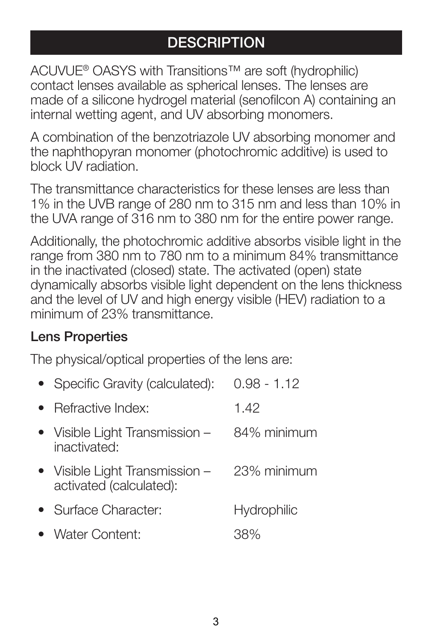# **DESCRIPTION**

ACUVUE® OASYS with Transitions™ are soft (hydrophilic) contact lenses available as spherical lenses. The lenses are made of a silicone hydrogel material (senofilcon A) containing an internal wetting agent, and UV absorbing monomers.

A combination of the benzotriazole UV absorbing monomer and the naphthopyran monomer (photochromic additive) is used to block UV radiation.

The transmittance characteristics for these lenses are less than 1% in the UVB range of 280 nm to 315 nm and less than 10% in the UVA range of 316 nm to 380 nm for the entire power range.

Additionally, the photochromic additive absorbs visible light in the range from 380 nm to 780 nm to a minimum 84% transmittance in the inactivated (closed) state. The activated (open) state dynamically absorbs visible light dependent on the lens thickness and the level of UV and high energy visible (HEV) radiation to a minimum of 23% transmittance.

#### **Lens Properties**

The physical/optical properties of the lens are:

| • Specific Gravity (calculated):                          | $0.98 - 1.12$ |
|-----------------------------------------------------------|---------------|
| • Refractive Index:                                       | 1.42          |
| • Visible Light Transmission -<br>inactivated:            | 84% minimum   |
| • Visible Light Transmission -<br>activated (calculated): | 23% minimum   |
| • Surface Character:                                      | Hydrophilic   |
| • Water Content:                                          | 38%           |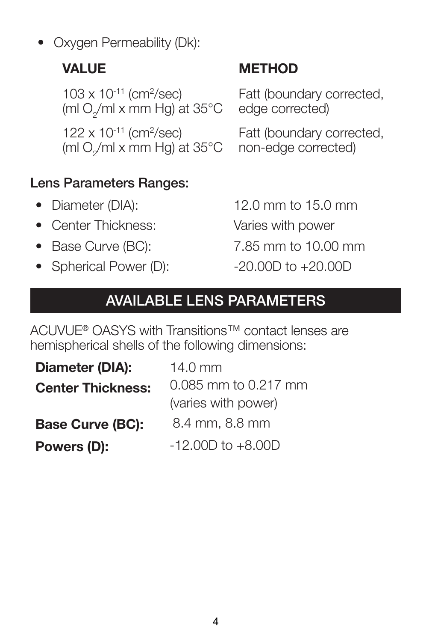• Oxygen Permeability (Dk):

 $103 \times 10^{-11}$  (cm<sup>2</sup>/sec) (ml O $_{\rm 2}^{\rm /}$ ml x mm Hg) at 35°C

 $122 \times 10^{-11}$  (cm<sup>2</sup>/sec) (ml O $_{\rm 2}^{\rm /}$ ml x mm Hg) at 35°C

# **Lens Parameters Ranges**:

- 
- Center Thickness: Varies with power
- 
- Spherical Power (D):  $-20.00D$  to  $+20.00D$

# **VALUE METHOD**

Fatt (boundary corrected, edge corrected)

Fatt (boundary corrected, non-edge corrected)

• Diameter (DIA): 12.0 mm to 15.0 mm

- Base Curve (BC): 7.85 mm to 10.00 mm
	-

# **AVAILABLE LENS PARAMETERS**

ACUVUE® OASYS with Transitions™ contact lenses are hemispherical shells of the following dimensions:

| Diameter (DIA):          | $14.0 \text{ mm}$     |  |
|--------------------------|-----------------------|--|
| <b>Center Thickness:</b> | 0.085 mm to 0.217 mm  |  |
|                          | (varies with power)   |  |
| <b>Base Curve (BC):</b>  | 8.4 mm, 8.8 mm        |  |
| Powers (D):              | $-12,00D$ to $+8,00D$ |  |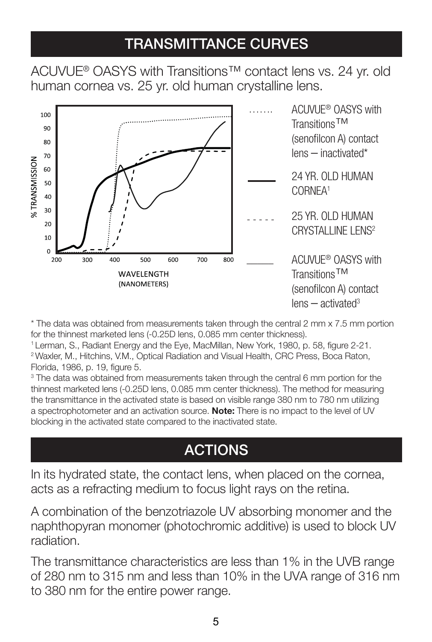# **TRANSMITTANCE CURVES**

ACUVUE® OASYS with Transitions™ contact lens vs. 24 yr. old human cornea vs. 25 yr. old human crystalline lens.



\* The data was obtained from measurements taken through the central 2 mm x 7.5 mm portion for the thinnest marketed lens (-0.25D lens, 0.085 mm center thickness).

<sup>1</sup> Lerman, S., Radiant Energy and the Eye, MacMillan, New York, 1980, p. 58, figure 2-21. 2 Waxler, M., Hitchins, V.M., Optical Radiation and Visual Health, CRC Press, Boca Raton, Florida, 1986, p. 19, figure 5.

3 The data was obtained from measurements taken through the central 6 mm portion for the thinnest marketed lens (-0.25D lens, 0.085 mm center thickness). The method for measuring the transmittance in the activated state is based on visible range 380 nm to 780 nm utilizing a spectrophotometer and an activation source. **Note:** There is no impact to the level of UV blocking in the activated state compared to the inactivated state.

# **ACTIONS**

In its hydrated state, the contact lens, when placed on the cornea, acts as a refracting medium to focus light rays on the retina.

A combination of the benzotriazole UV absorbing monomer and the naphthopyran monomer (photochromic additive) is used to block UV radiation.

The transmittance characteristics are less than 1% in the UVB range of 280 nm to 315 nm and less than 10% in the UVA range of 316 nm to 380 nm for the entire power range.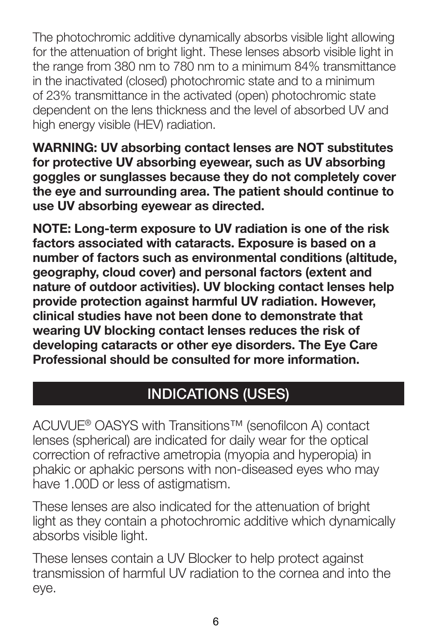The photochromic additive dynamically absorbs visible light allowing for the attenuation of bright light. These lenses absorb visible light in the range from 380 nm to 780 nm to a minimum 84% transmittance in the inactivated (closed) photochromic state and to a minimum of 23% transmittance in the activated (open) photochromic state dependent on the lens thickness and the level of absorbed UV and high energy visible (HEV) radiation.

**WARNING: UV absorbing contact lenses are NOT substitutes for protective UV absorbing eyewear, such as UV absorbing goggles or sunglasses because they do not completely cover the eye and surrounding area. The patient should continue to use UV absorbing eyewear as directed.**

**NOTE: Long-term exposure to UV radiation is one of the risk factors associated with cataracts. Exposure is based on a number of factors such as environmental conditions (altitude, geography, cloud cover) and personal factors (extent and nature of outdoor activities). UV blocking contact lenses help provide protection against harmful UV radiation. However, clinical studies have not been done to demonstrate that wearing UV blocking contact lenses reduces the risk of developing cataracts or other eye disorders. The Eye Care Professional should be consulted for more information.**

# **INDICATIONS (USES)**

ACUVUE® OASYS with Transitions™ (senofilcon A) contact lenses (spherical) are indicated for daily wear for the optical correction of refractive ametropia (myopia and hyperopia) in phakic or aphakic persons with non-diseased eyes who may have 1.00D or less of astigmatism.

These lenses are also indicated for the attenuation of bright light as they contain a photochromic additive which dynamically absorbs visible light.

These lenses contain a UV Blocker to help protect against transmission of harmful UV radiation to the cornea and into the eye.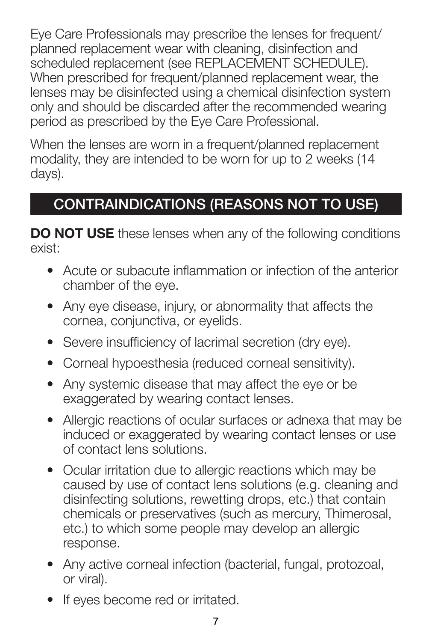Eye Care Professionals may prescribe the lenses for frequent/ planned replacement wear with cleaning, disinfection and scheduled replacement (see REPLACEMENT SCHEDULE). When prescribed for frequent/planned replacement wear, the lenses may be disinfected using a chemical disinfection system only and should be discarded after the recommended wearing period as prescribed by the Eye Care Professional.

When the lenses are worn in a frequent/planned replacement modality, they are intended to be worn for up to 2 weeks (14 days).

# **CONTRAINDICATIONS (REASONS NOT TO USE)**

**DO NOT USE** these lenses when any of the following conditions exist:

- Acute or subacute inflammation or infection of the anterior chamber of the eye.
- Any eye disease, injury, or abnormality that affects the cornea, conjunctiva, or eyelids.
- Severe insufficiency of lacrimal secretion (dry eye).
- Corneal hypoesthesia (reduced corneal sensitivity).
- Any systemic disease that may affect the eye or be exaggerated by wearing contact lenses.
- Allergic reactions of ocular surfaces or adnexa that may be induced or exaggerated by wearing contact lenses or use of contact lens solutions.
- Ocular irritation due to allergic reactions which may be caused by use of contact lens solutions (e.g. cleaning and disinfecting solutions, rewetting drops, etc.) that contain chemicals or preservatives (such as mercury, Thimerosal, etc.) to which some people may develop an allergic response.
- Any active corneal infection (bacterial, fungal, protozoal, or viral).
- If eyes become red or irritated.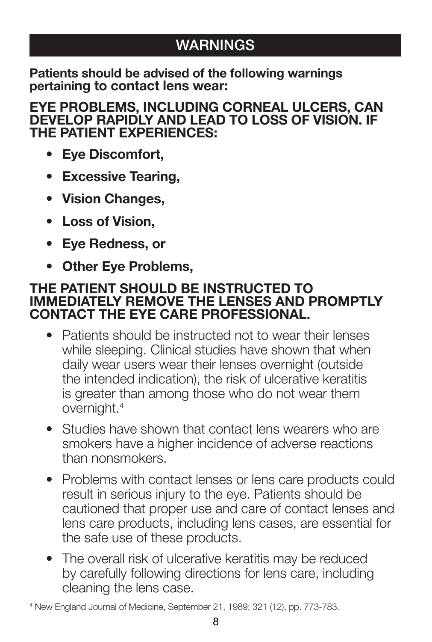# **WARNINGS**

**Patients should be advised of the following warnings pertaining to contact lens wear:**

**EYE PROBLEMS, INCLUDING CORNEAL ULCERS, CAN DEVELOP RAPIDLY AND LEAD TO LOSS OF VISION. IF THE PATIENT EXPERIENCES:**

- **Eye Discomfort,**
- **Excessive Tearing,**
- **Vision Changes,**
- **Loss of Vision,**
- **Eye Redness, or**
- **Other Eye Problems,**

#### **THE PATIENT SHOULD BE INSTRUCTED TO IMMEDIATELY REMOVE THE LENSES AND PROMPTLY CONTACT THE EYE CARE PROFESSIONAL.**

- Patients should be instructed not to wear their lenses while sleeping. Clinical studies have shown that when daily wear users wear their lenses overnight (outside the intended indication), the risk of ulcerative keratitis is greater than among those who do not wear them overnight.4
- Studies have shown that contact lens wearers who are smokers have a higher incidence of adverse reactions than nonsmokers.
- Problems with contact lenses or lens care products could result in serious injury to the eye. Patients should be cautioned that proper use and care of contact lenses and lens care products, including lens cases, are essential for the safe use of these products.
- The overall risk of ulcerative keratitis may be reduced by carefully following directions for lens care, including cleaning the lens case.

<sup>4</sup> New England Journal of Medicine, September 21, 1989; 321 (12), pp. 773-783.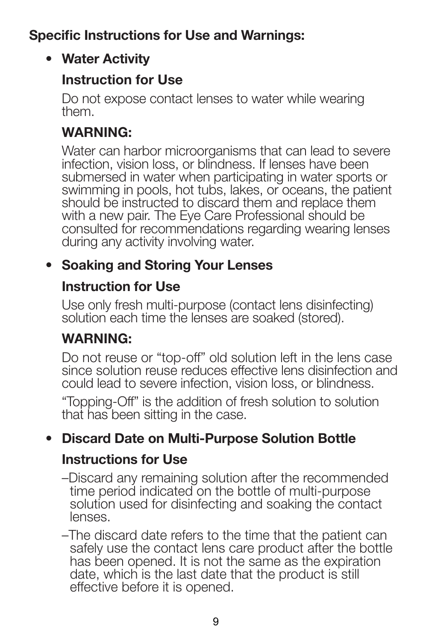### **Specific Instructions for Use and Warnings:**

### **• Water Activity**

### **Instruction for Use**

Do not expose contact lenses to water while wearing them.

### **WARNING:**

Water can harbor microorganisms that can lead to severe infection, vision loss, or blindness. If lenses have been submersed in water when participating in water sports or swimming in pools, hot tubs, lakes, or oceans, the patient should be instructed to discard them and replace them with a new pair. The Eye Care Professional should be consulted for recommendations regarding wearing lenses during any activity involving water.

## **• Soaking and Storing Your Lenses**

### **Instruction for Use**

Use only fresh multi-purpose (contact lens disinfecting) solution each time the lenses are soaked (stored).

### **WARNING:**

Do not reuse or "top-off" old solution left in the lens case since solution reuse reduces effective lens disinfection and could lead to severe infection, vision loss, or blindness.

"Topping-Off" is the addition of fresh solution to solution that has been sitting in the case.

### **• Discard Date on Multi-Purpose Solution Bottle**

### **Instructions for Use**

–Discard any remaining solution after the recommended time period indicated on the bottle of multi-purpose solution used for disinfecting and soaking the contact lenses.

–The discard date refers to the time that the patient can safely use the contact lens care product after the bottle has been opened. It is not the same as the expiration date, which is the last date that the product is still effective before it is opened.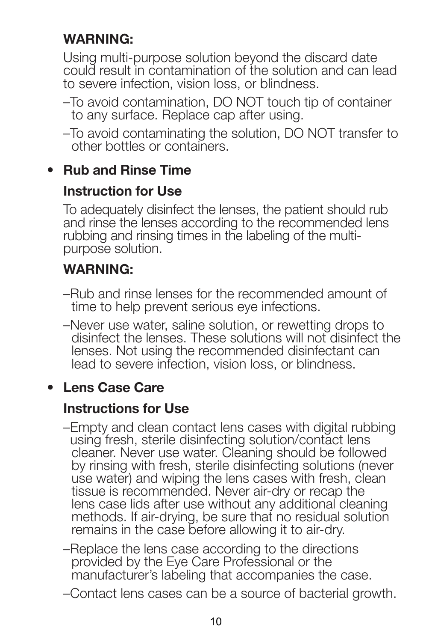### **WARNING:**

Using multi-purpose solution beyond the discard date could result in contamination of the solution and can lead to severe infection, vision loss, or blindness.

- –To avoid contamination, DO NOT touch tip of container to any surface. Replace cap after using.
- –To avoid contaminating the solution, DO NOT transfer to other bottles or containers.

### **• Rub and Rinse Time**

### **Instruction for Use**

To adequately disinfect the lenses, the patient should rub and rinse the lenses according to the recommended lens rubbing and rinsing times in the labeling of the multipurpose solution.

### **WARNING:**

- –Rub and rinse lenses for the recommended amount of time to help prevent serious eye infections.
- –Never use water, saline solution, or rewetting drops to disinfect the lenses. These solutions will not disinfect the lenses. Not using the recommended disinfectant can lead to severe infection, vision loss, or blindness.

### **• Lens Case Care**

#### **Instructions for Use**

- –Empty and clean contact lens cases with digital rubbing using fresh, sterile disinfecting solution/contact lens cleaner. Never use water. Cleaning should be followed by rinsing with fresh, sterile disinfecting solutions (never use water) and wiping the lens cases with fresh, clean tissue is recommended. Never air-dry or recap the lens case lids after use without any additional cleaning methods. If air-drying, be sure that no residual solution remains in the case before allowing it to air-dry.
- –Replace the lens case according to the directions provided by the Eye Care Professional or the manufacturer's labeling that accompanies the case.
- –Contact lens cases can be a source of bacterial growth.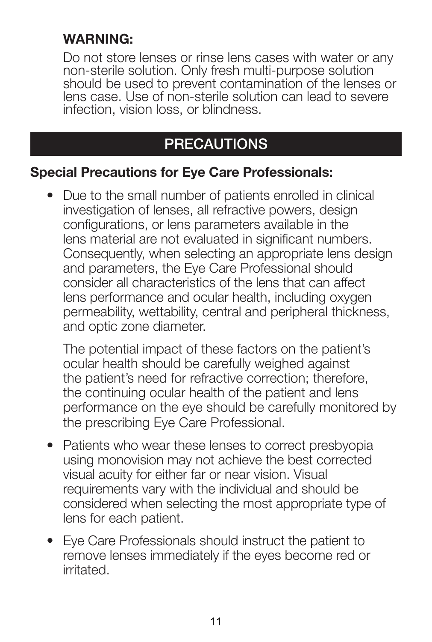### **WARNING:**

Do not store lenses or rinse lens cases with water or any non-sterile solution. Only fresh multi-purpose solution should be used to prevent contamination of the lenses or lens case. Use of non-sterile solution can lead to severe infection, vision loss, or blindness.

# **PRECAUTIONS**

#### **Special Precautions for Eye Care Professionals:**

• Due to the small number of patients enrolled in clinical investigation of lenses, all refractive powers, design configurations, or lens parameters available in the lens material are not evaluated in significant numbers. Consequently, when selecting an appropriate lens design and parameters, the Eye Care Professional should consider all characteristics of the lens that can affect lens performance and ocular health, including oxygen permeability, wettability, central and peripheral thickness, and optic zone diameter.

The potential impact of these factors on the patient's ocular health should be carefully weighed against the patient's need for refractive correction; therefore, the continuing ocular health of the patient and lens performance on the eye should be carefully monitored by the prescribing Eye Care Professional.

- Patients who wear these lenses to correct presbyopia using monovision may not achieve the best corrected visual acuity for either far or near vision. Visual requirements vary with the individual and should be considered when selecting the most appropriate type of lens for each patient.
- Eye Care Professionals should instruct the patient to remove lenses immediately if the eyes become red or irritated.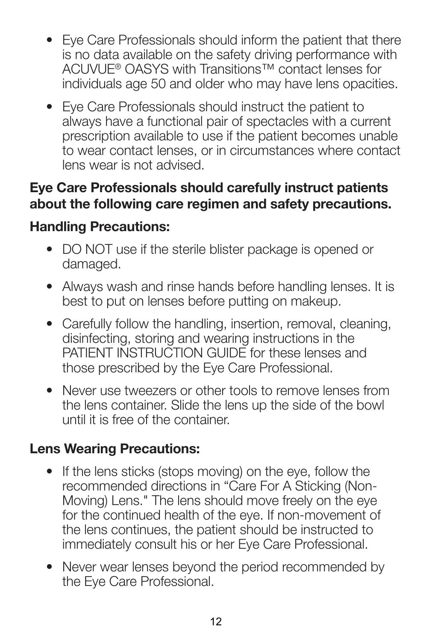- Eye Care Professionals should inform the patient that there is no data available on the safety driving performance with ACUVUE® OASYS with Transitions™ contact lenses for individuals age 50 and older who may have lens opacities.
- Eye Care Professionals should instruct the patient to always have a functional pair of spectacles with a current prescription available to use if the patient becomes unable to wear contact lenses, or in circumstances where contact lens wear is not advised.

### **Eye Care Professionals should carefully instruct patients about the following care regimen and safety precautions.**

### **Handling Precautions:**

- DO NOT use if the sterile blister package is opened or damaged.
- Always wash and rinse hands before handling lenses. It is best to put on lenses before putting on makeup.
- Carefully follow the handling, insertion, removal, cleaning, disinfecting, storing and wearing instructions in the PATIENT INSTRUCTION GUIDE for these lenses and those prescribed by the Eye Care Professional.
- Never use tweezers or other tools to remove lenses from the lens container. Slide the lens up the side of the bowl until it is free of the container.

### **Lens Wearing Precautions:**

- If the lens sticks (stops moving) on the eye, follow the recommended directions in "Care For A Sticking (Non-Moving) Lens." The lens should move freely on the eye for the continued health of the eye. If non-movement of the lens continues, the patient should be instructed to immediately consult his or her Eye Care Professional.
- Never wear lenses beyond the period recommended by the Eye Care Professional.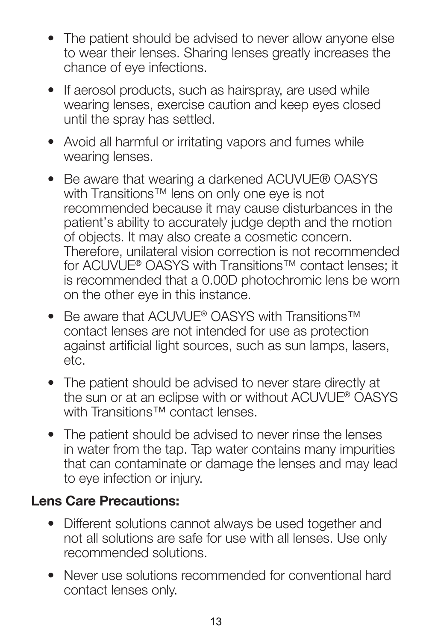- The patient should be advised to never allow anyone else to wear their lenses. Sharing lenses greatly increases the chance of eye infections.
- If aerosol products, such as hairspray, are used while wearing lenses, exercise caution and keep eyes closed until the spray has settled.
- Avoid all harmful or irritating vapors and fumes while wearing lenses.
- Be aware that wearing a darkened ACUVUE® OASYS with Transitions™ lens on only one eye is not recommended because it may cause disturbances in the patient's ability to accurately judge depth and the motion of objects. It may also create a cosmetic concern. Therefore, unilateral vision correction is not recommended for ACUVUE® OASYS with Transitions™ contact lenses; it is recommended that a 0.00D photochromic lens be worn on the other eye in this instance.
- Be aware that ACUVUE® OASYS with Transitions™ contact lenses are not intended for use as protection against artificial light sources, such as sun lamps, lasers, etc.
- The patient should be advised to never stare directly at the sun or at an eclipse with or without ACUVUE® OASYS with Transitions™ contact lenses.
- The patient should be advised to never rinse the lenses in water from the tap. Tap water contains many impurities that can contaminate or damage the lenses and may lead to eye infection or injury.

#### **Lens Care Precautions:**

- Different solutions cannot always be used together and not all solutions are safe for use with all lenses. Use only recommended solutions.
- Never use solutions recommended for conventional hard contact lenses only.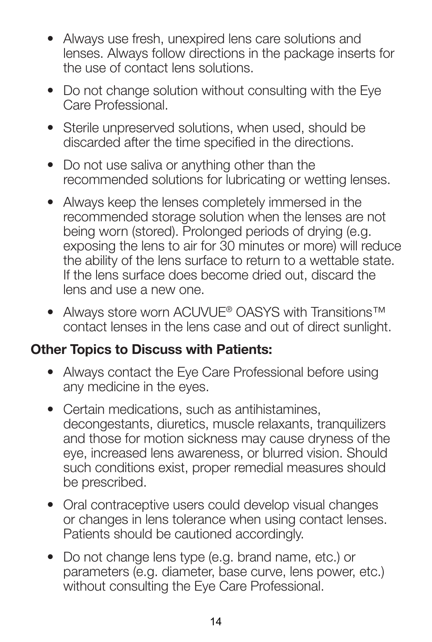- Always use fresh, unexpired lens care solutions and lenses. Always follow directions in the package inserts for the use of contact lens solutions.
- Do not change solution without consulting with the Eye Care Professional.
- Sterile unpreserved solutions, when used, should be discarded after the time specified in the directions.
- Do not use saliva or anything other than the recommended solutions for lubricating or wetting lenses.
- Always keep the lenses completely immersed in the recommended storage solution when the lenses are not being worn (stored). Prolonged periods of drying (e.g. exposing the lens to air for 30 minutes or more) will reduce the ability of the lens surface to return to a wettable state. If the lens surface does become dried out, discard the lens and use a new one.
- Always store worn ACUVUE® OASYS with Transitions™ contact lenses in the lens case and out of direct sunlight.

#### **Other Topics to Discuss with Patients:**

- Always contact the Eye Care Professional before using any medicine in the eyes.
- Certain medications, such as antihistamines, decongestants, diuretics, muscle relaxants, tranquilizers and those for motion sickness may cause dryness of the eye, increased lens awareness, or blurred vision. Should such conditions exist, proper remedial measures should be prescribed.
- Oral contraceptive users could develop visual changes or changes in lens tolerance when using contact lenses. Patients should be cautioned accordingly.
- Do not change lens type (e.g. brand name, etc.) or parameters (e.g. diameter, base curve, lens power, etc.) without consulting the Eye Care Professional.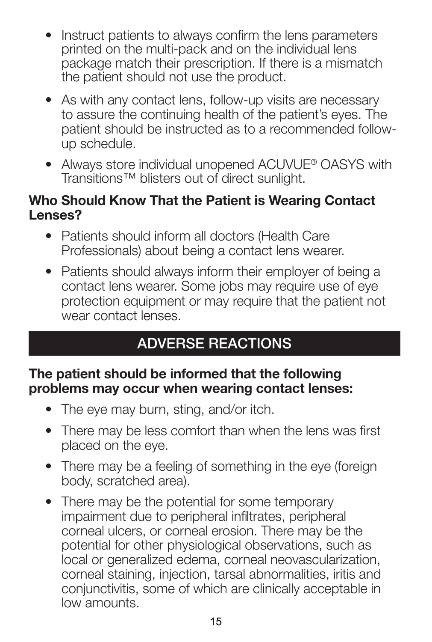- Instruct patients to always confirm the lens parameters printed on the multi-pack and on the individual lens package match their prescription. If there is a mismatch the patient should not use the product.
- As with any contact lens, follow-up visits are necessary to assure the continuing health of the patient's eyes. The patient should be instructed as to a recommended followup schedule.
- Always store individual unopened ACUVUE® OASYS with Transitions™ blisters out of direct sunlight.

#### **Who Should Know That the Patient is Wearing Contact Lenses?**

- Patients should inform all doctors (Health Care Professionals) about being a contact lens wearer.
- Patients should always inform their employer of being a contact lens wearer. Some jobs may require use of eye protection equipment or may require that the patient not wear contact lenses.

# **ADVERSE REACTIONS**

#### **The patient should be informed that the following problems may occur when wearing contact lenses:**

- The eye may burn, sting, and/or itch.
- There may be less comfort than when the lens was first placed on the eye.
- There may be a feeling of something in the eye (foreign body, scratched area).
- There may be the potential for some temporary impairment due to peripheral infiltrates, peripheral corneal ulcers, or corneal erosion. There may be the potential for other physiological observations, such as local or generalized edema, corneal neovascularization, corneal staining, injection, tarsal abnormalities, iritis and conjunctivitis, some of which are clinically acceptable in low amounts.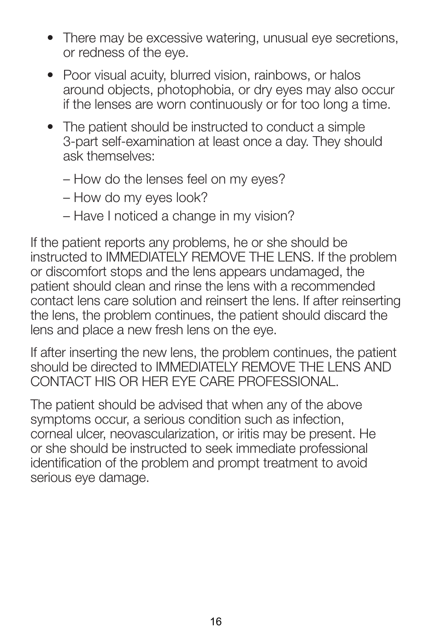- There may be excessive watering, unusual eye secretions, or redness of the eye.
- Poor visual acuity, blurred vision, rainbows, or halos around objects, photophobia, or dry eyes may also occur if the lenses are worn continuously or for too long a time.
- The patient should be instructed to conduct a simple 3-part self-examination at least once a day. They should ask themselves:
	- How do the lenses feel on my eyes?
	- How do my eyes look?
	- Have I noticed a change in my vision?

If the patient reports any problems, he or she should be instructed to IMMEDIATELY REMOVE THE LENS. If the problem or discomfort stops and the lens appears undamaged, the patient should clean and rinse the lens with a recommended contact lens care solution and reinsert the lens. If after reinserting the lens, the problem continues, the patient should discard the lens and place a new fresh lens on the eye.

If after inserting the new lens, the problem continues, the patient should be directed to IMMEDIATELY REMOVE THE LENS AND CONTACT HIS OR HER EYE CARE PROFESSIONAL.

The patient should be advised that when any of the above symptoms occur, a serious condition such as infection, corneal ulcer, neovascularization, or iritis may be present. He or she should be instructed to seek immediate professional identification of the problem and prompt treatment to avoid serious eye damage.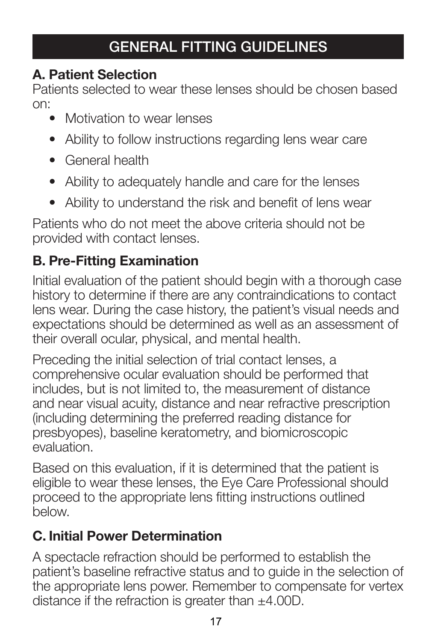# **GENERAL FITTING GUIDELINES**

### **A. Patient Selection**

Patients selected to wear these lenses should be chosen based on:

- Motivation to wear lenses
- Ability to follow instructions regarding lens wear care
- General health
- Ability to adequately handle and care for the lenses
- Ability to understand the risk and benefit of lens wear

Patients who do not meet the above criteria should not be provided with contact lenses.

## **B. Pre-Fitting Examination**

Initial evaluation of the patient should begin with a thorough case history to determine if there are any contraindications to contact lens wear. During the case history, the patient's visual needs and expectations should be determined as well as an assessment of their overall ocular, physical, and mental health.

Preceding the initial selection of trial contact lenses, a comprehensive ocular evaluation should be performed that includes, but is not limited to, the measurement of distance and near visual acuity, distance and near refractive prescription (including determining the preferred reading distance for presbyopes), baseline keratometry, and biomicroscopic evaluation.

Based on this evaluation, if it is determined that the patient is eligible to wear these lenses, the Eye Care Professional should proceed to the appropriate lens fitting instructions outlined below.

# **C. Initial Power Determination**

A spectacle refraction should be performed to establish the patient's baseline refractive status and to guide in the selection of the appropriate lens power. Remember to compensate for vertex distance if the refraction is greater than  $\pm 4.00D$ .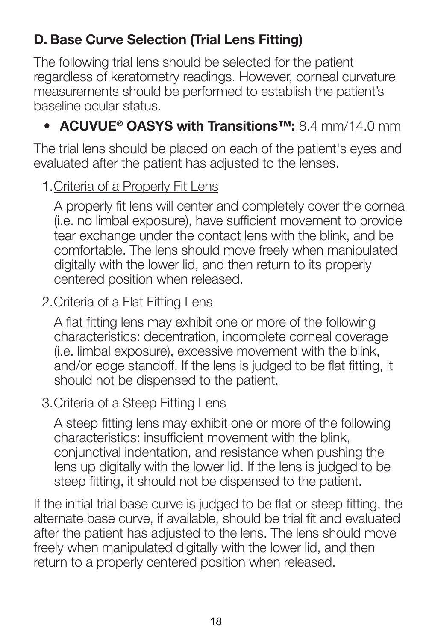## **D. Base Curve Selection (Trial Lens Fitting)**

The following trial lens should be selected for the patient regardless of keratometry readings. However, corneal curvature measurements should be performed to establish the patient's baseline ocular status.

### • **ACUVUE® OASYS with Transitions™:** 8.4 mm/14.0 mm

The trial lens should be placed on each of the patient's eyes and evaluated after the patient has adjusted to the lenses.

#### 1. Criteria of a Properly Fit Lens

A properly fit lens will center and completely cover the cornea (i.e. no limbal exposure), have sufficient movement to provide tear exchange under the contact lens with the blink, and be comfortable. The lens should move freely when manipulated digitally with the lower lid, and then return to its properly centered position when released.

#### 2. Criteria of a Flat Fitting Lens

A flat fitting lens may exhibit one or more of the following characteristics: decentration, incomplete corneal coverage (i.e. limbal exposure), excessive movement with the blink, and/or edge standoff. If the lens is judged to be flat fitting, it should not be dispensed to the patient.

#### 3. Criteria of a Steep Fitting Lens

A steep fitting lens may exhibit one or more of the following characteristics: insufficient movement with the blink. conjunctival indentation, and resistance when pushing the lens up digitally with the lower lid. If the lens is judged to be steep fitting, it should not be dispensed to the patient.

If the initial trial base curve is judged to be flat or steep fitting, the alternate base curve, if available, should be trial fit and evaluated after the patient has adjusted to the lens. The lens should move freely when manipulated digitally with the lower lid, and then return to a properly centered position when released.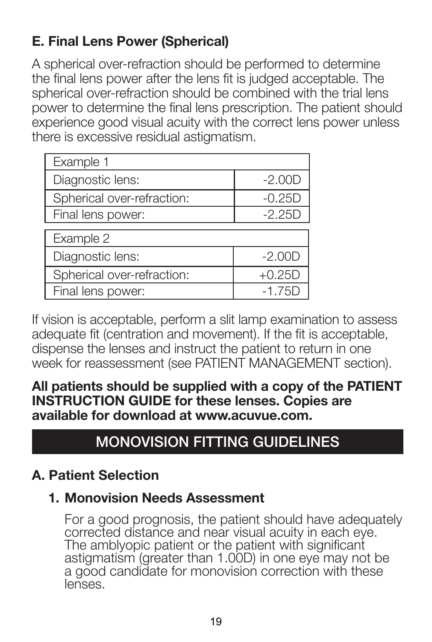# **E. Final Lens Power (Spherical)**

A spherical over-refraction should be performed to determine the final lens power after the lens fit is judged acceptable. The spherical over-refraction should be combined with the trial lens power to determine the final lens prescription. The patient should experience good visual acuity with the correct lens power unless there is excessive residual astigmatism.

| Example 1                  |          |  |  |
|----------------------------|----------|--|--|
| Diagnostic lens:           | $-2.00D$ |  |  |
| Spherical over-refraction: | $-0.25D$ |  |  |
| Final lens power:          | $-2.25D$ |  |  |
|                            |          |  |  |
| Example 2                  |          |  |  |
| Diagnostic lens:           | $-2.00D$ |  |  |
| Spherical over-refraction: | $+0.25D$ |  |  |
| Final lens power:          | $-1.75D$ |  |  |

If vision is acceptable, perform a slit lamp examination to assess adequate fit (centration and movement). If the fit is acceptable, dispense the lenses and instruct the patient to return in one week for reassessment (see PATIENT MANAGEMENT section).

**All patients should be supplied with a copy of the PATIENT INSTRUCTION GUIDE for these lenses. Copies are available for download at www.acuvue.com.**

# **MONOVISION FITTING GUIDELINES**

### **A. Patient Selection**

### **1. Monovision Needs Assessment**

For a good prognosis, the patient should have adequately corrected distance and near visual acuity in each eye. The amblyopic patient or the patient with significant astigmatism (greater than 1.00D) in one eye may not be a good candidate for monovision correction with these lenses.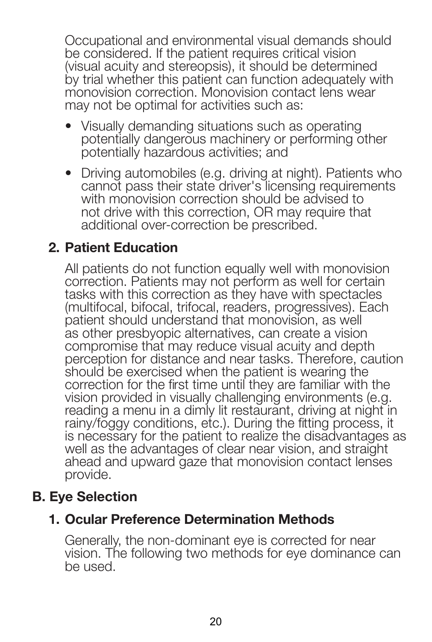Occupational and environmental visual demands should be considered. If the patient requires critical vision (visual acuity and stereopsis), it should be determined by trial whether this patient can function adequately with monovision correction. Monovision contact lens wear may not be optimal for activities such as:

- Visually demanding situations such as operating potentially dangerous machinery or performing other potentially hazardous activities; and
- Driving automobiles (e.g. driving at night). Patients who cannot pass their state driver's licensing requirements with monovision correction should be advised to not drive with this correction, OR may require that additional over-correction be prescribed.

#### 2**. Patient Education**

All patients do not function equally well with monovision correction. Patients may not perform as well for certain tasks with this correction as they have with spectacles (multifocal, bifocal, trifocal, readers, progressives). Each patient should understand that monovision, as well as other presbyopic alternatives, can create a vision compromise that may reduce visual acuity and depth perception for distance and near tasks. Therefore, caution should be exercised when the patient is wearing the correction for the first time until they are familiar with the vision provided in visually challenging environments (e.g. reading a menu in a dimly lit restaurant, driving at night in rainy/foggy conditions, etc.). During the fitting process, it is necessary for the patient to realize the disadvantages as well as the advantages of clear near vision, and straight ahead and upward gaze that monovision contact lenses provide.

#### **B. Eye Selection**

### **1. Ocular Preference Determination Methods**

Generally, the non-dominant eye is corrected for near vision. The following two methods for eye dominance can be used.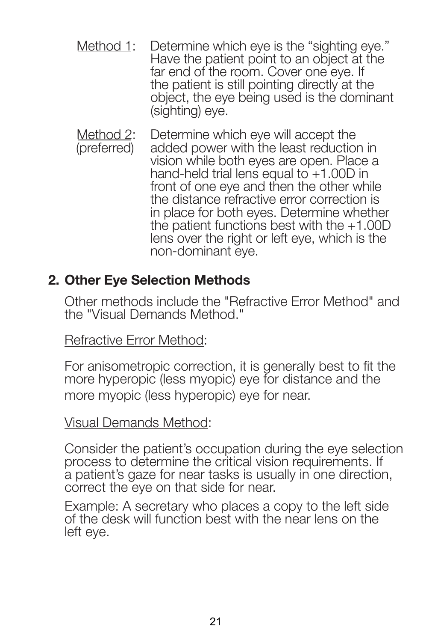- Method 1: Determine which eye is the "sighting eye." Have the patient point to an object at the far end of the room. Cover one eye. If the patient is still pointing directly at the object, the eye being used is the dominant (sighting) eye.
- Method 2: (preferred) Determine which eye will accept the added power with the least reduction in vision while both eyes are open. Place a hand-held trial lens equal to +1.00D in front of one eye and then the other while the distance refractive error correction is in place for both eyes. Determine whether the patient functions best with the  $+1.00D$ lens over the right or left eye, which is the non-dominant eye.

#### **2. Other Eye Selection Methods**

Other methods include the "Refractive Error Method" and the "Visual Demands Method."

Refractive Error Method:

For anisometropic correction, it is generally best to fit the more hyperopic (less myopic) eye for distance and the more myopic (less hyperopic) eye for near.

#### Visual Demands Method:

Consider the patient's occupation during the eye selection process to determine the critical vision requirements. If a patient's gaze for near tasks is usually in one direction, correct the eye on that side for near.

Example: A secretary who places a copy to the left side of the desk will function best with the near lens on the left eye.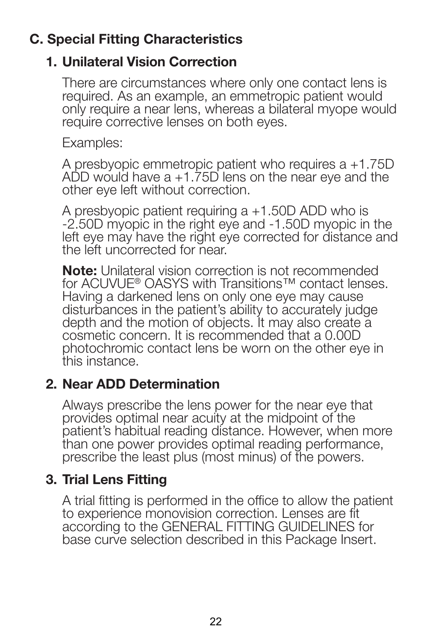### **C. Special Fitting Characteristics**

### **1. Unilateral Vision Correction**

There are circumstances where only one contact lens is required. As an example, an emmetropic patient would only require a near lens, whereas a bilateral myope would require corrective lenses on both eyes.

Examples:

A presbyopic emmetropic patient who requires a +1.75D ADD would have a +1.75D lens on the near eye and the other eye left without correction.

A presbyopic patient requiring a +1.50D ADD who is -2.50D myopic in the right eye and -1.50D myopic in the left eye may have the right eye corrected for distance and the left uncorrected for near.

**Note:** Unilateral vision correction is not recommended for ACUVUE<sup>®</sup> OASYS with Transitions™ contact lenses. Having a darkened lens on only one eye may cause disturbances in the patient's ability to accurately judge depth and the motion of objects. It may also create a cosmetic concern. It is recommended that a 0.00D photochromic contact lens be worn on the other eye in this instance.

### **2. Near ADD Determination**

Always prescribe the lens power for the near eye that provides optimal near acuity at the midpoint of the patient's habitual reading distance. However, when more than one power provides optimal reading performance, prescribe the least plus (most minus) of the powers.

### **3. Trial Lens Fitting**

A trial fitting is performed in the office to allow the patient to experience monovision correction. Lenses are fit according to the GENERAL FITTING GUIDELINES for base curve selection described in this Package Insert.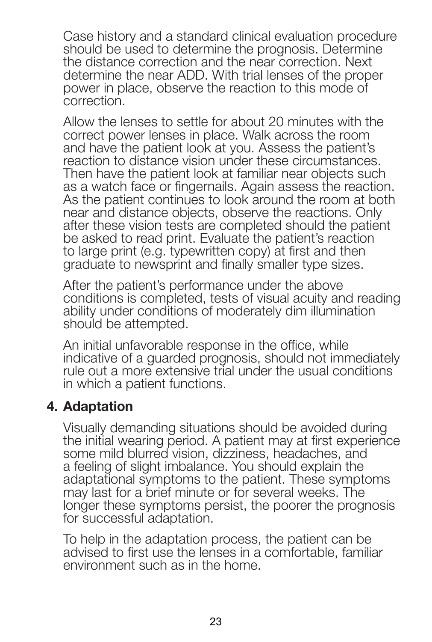Case history and a standard clinical evaluation procedure should be used to determine the prognosis. Determine the distance correction and the near correction. Next determine the near ADD. With trial lenses of the proper power in place, observe the reaction to this mode of correction.

Allow the lenses to settle for about 20 minutes with the correct power lenses in place. Walk across the room and have the patient look at you. Assess the patient's reaction to distance vision under these circumstances. Then have the patient look at familiar near objects such as a watch face or fingernails. Again assess the reaction. As the patient continues to look around the room at both near and distance objects, observe the reactions. Only after these vision tests are completed should the patient be asked to read print. Evaluate the patient's reaction to large print (e.g. typewritten copy) at first and then graduate to newsprint and finally smaller type sizes.

After the patient's performance under the above conditions is completed, tests of visual acuity and reading ability under conditions of moderately dim illumination should be attempted.

An initial unfavorable response in the office, while indicative of a guarded prognosis, should not immediately rule out a more extensive trial under the usual conditions in which a patient functions.

#### 4**. Adaptation**

Visually demanding situations should be avoided during the initial wearing period. A patient may at first experience some mild blurred vision, dizziness, headaches, and a feeling of slight imbalance. You should explain the adaptational symptoms to the patient. These symptoms may last for a brief minute or for several weeks. The longer these symptoms persist, the poorer the prognosis for successful adaptation.

To help in the adaptation process, the patient can be advised to first use the lenses in a comfortable, familiar environment such as in the home.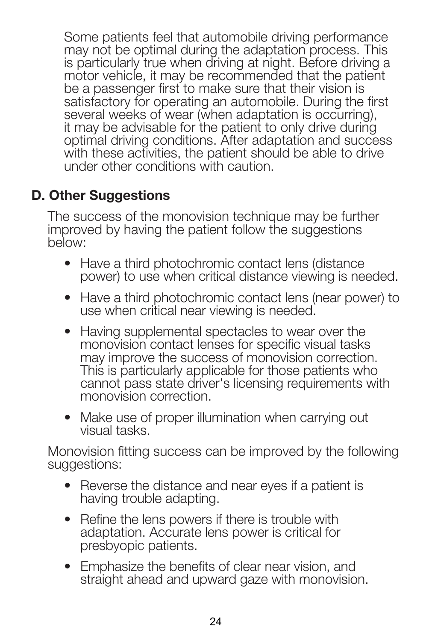Some patients feel that automobile driving performance may not be optimal during the adaptation process. This is particularly true when driving at night. Before driving a motor vehicle, it may be recommended that the patient be a passenger first to make sure that their vision is satisfactory for operating an automobile. During the first several weeks of wear (when adaptation is occurring). it may be advisable for the patient to only drive during optimal driving conditions. After adaptation and success with these activities, the patient should be able to drive under other conditions with caution.

### **D. Other Suggestions**

The success of the monovision technique may be further improved by having the patient follow the suggestions below:

- Have a third photochromic contact lens (distance power) to use when critical distance viewing is needed.
- Have a third photochromic contact lens (near power) to use when critical near viewing is needed.
- Having supplemental spectacles to wear over the monovision contact lenses for specific visual tasks may improve the success of monovision correction. This is particularly applicable for those patients who cannot pass state driver's licensing requirements with monovision correction.
- Make use of proper illumination when carrying out visual tasks.

Monovision fitting success can be improved by the following suggestions:

- Reverse the distance and near eyes if a patient is having trouble adapting.
- Refine the lens powers if there is trouble with adaptation. Accurate lens power is critical for presbyopic patients.
- Emphasize the benefits of clear near vision, and straight ahead and upward gaze with monovision.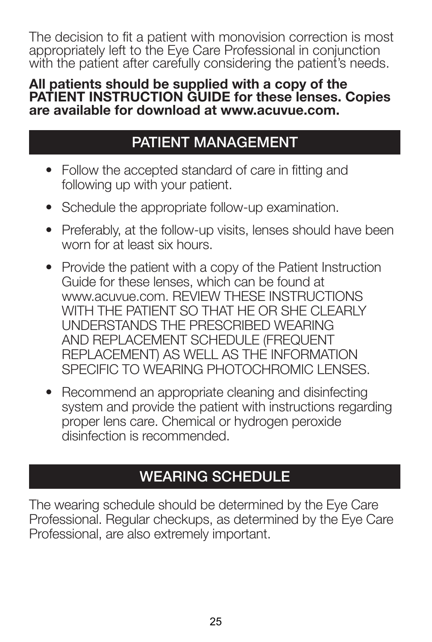The decision to fit a patient with monovision correction is most appropriately left to the Eye Care Professional in conjunction with the patient after carefully considering the patient's needs.

#### **All patients should be supplied with a copy of the PATIENT INSTRUCTION GUIDE for these lenses. Copies are available for download at www.acuvue.com.**

# **PATIENT MANAGEMENT**

- Follow the accepted standard of care in fitting and following up with your patient.
- Schedule the appropriate follow-up examination.
- Preferably, at the follow-up visits, lenses should have been worn for at least six hours.
- Provide the patient with a copy of the Patient Instruction Guide for these lenses, which can be found at WWW.acuvue.com. REVIEW THESE INSTRUCTIONS WITH THE PATIENT SO THAT HE OR SHE CLEARLY UNDERSTANDS THE PRESCRIBED WEARING AND REPLACEMENT SCHEDULE (FREQUENT REPLACEMENT) AS WELL AS THE INFORMATION SPECIFIC TO WEARING PHOTOCHROMIC LENSES.
- Recommend an appropriate cleaning and disinfecting system and provide the patient with instructions regarding proper lens care. Chemical or hydrogen peroxide disinfection is recommended.

# **WEARING SCHEDULE**

The wearing schedule should be determined by the Eye Care Professional. Regular checkups, as determined by the Eye Care Professional, are also extremely important.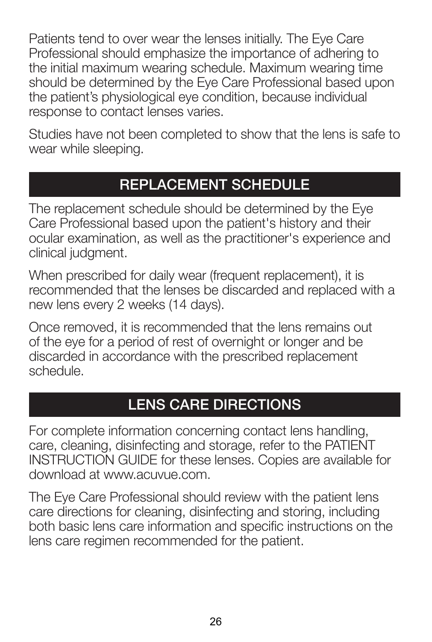Patients tend to over wear the lenses initially. The Eye Care Professional should emphasize the importance of adhering to the initial maximum wearing schedule. Maximum wearing time should be determined by the Eye Care Professional based upon the patient's physiological eye condition, because individual response to contact lenses varies.

Studies have not been completed to show that the lens is safe to wear while sleeping.

# **REPLACEMENT SCHEDULE**

The replacement schedule should be determined by the Eye Care Professional based upon the patient's history and their ocular examination, as well as the practitioner's experience and clinical judgment.

When prescribed for daily wear (frequent replacement), it is recommended that the lenses be discarded and replaced with a new lens every 2 weeks (14 days).

Once removed, it is recommended that the lens remains out of the eye for a period of rest of overnight or longer and be discarded in accordance with the prescribed replacement schedule.

# **LENS CARE DIRECTIONS**

For complete information concerning contact lens handling, care, cleaning, disinfecting and storage, refer to the PATIENT INSTRUCTION GUIDE for these lenses. Copies are available for download at www.acuvue.com.

The Eye Care Professional should review with the patient lens care directions for cleaning, disinfecting and storing, including both basic lens care information and specific instructions on the lens care regimen recommended for the patient.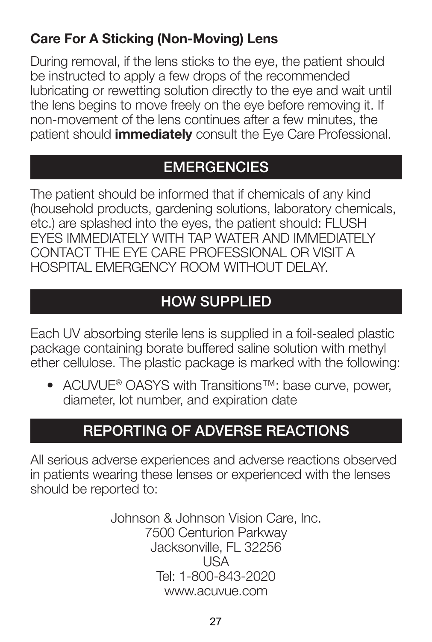### **Care For A Sticking (Non-Moving) Lens**

During removal, if the lens sticks to the eye, the patient should be instructed to apply a few drops of the recommended lubricating or rewetting solution directly to the eye and wait until the lens begins to move freely on the eye before removing it. If non-movement of the lens continues after a few minutes, the patient should **immediately** consult the Eye Care Professional.

# **EMERGENCIES**

The patient should be informed that if chemicals of any kind (household products, gardening solutions, laboratory chemicals, etc.) are splashed into the eyes, the patient should: FLUSH EYES IMMEDIATELY WITH TAP WATER AND IMMEDIATELY CONTACT THE EYE CARE PROFESSIONAL OR VISIT A HOSPITAL EMERGENCY ROOM WITHOUT DELAY.

# **HOW SUPPLIED**

Each UV absorbing sterile lens is supplied in a foil-sealed plastic package containing borate buffered saline solution with methyl ether cellulose. The plastic package is marked with the following:

• ACLIVUE® OASYS with Transitions™: base curve, power, diameter, lot number, and expiration date

# **REPORTING OF ADVERSE REACTIONS**

All serious adverse experiences and adverse reactions observed in patients wearing these lenses or experienced with the lenses should be reported to:

> Johnson & Johnson Vision Care, Inc. 7500 Centurion Parkway Jacksonville, FL 32256 USA Tel: 1-800-843-2020 www.acuvue.com